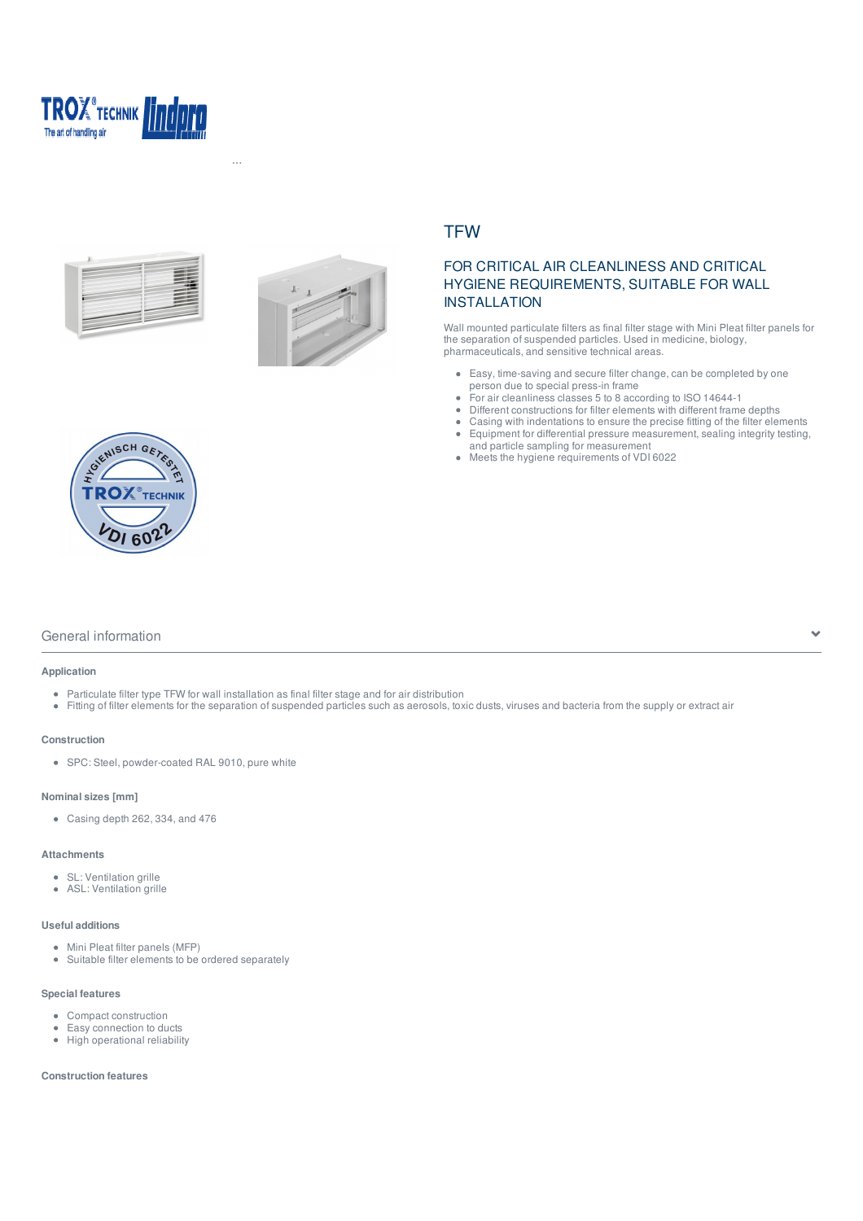





Hemsida > Produkter > Lindpro ... > Particulate filter air terminal devices > Wall mounted particulate filter > TFW

# **TFW**

# FOR CRITICAL AIR CLEANLINESS AND CRITICAL HYGIENE REQUIREMENTS, SUITABLE FOR WALL INSTALLATION

Wall mounted particulate filters as final filter stage with Mini Pleat filter panels for the separation of suspended particles. Used in medicine, biology, pharmaceuticals, and sensitive technical areas.

- Easy, time-saving and secure filter change, can be completed by one person due to special press-in frame
- For air cleanliness classes 5 to 8 according to ISO 14644-1  $\ddot{\phantom{a}}$
- Different constructions for filter elements with different frame depths  $\bullet$
- Casing with indentations to ensure the precise fitting of the filter elements Equipment for differential pressure measurement, sealing integrity testing,  $\bullet$ and particle sampling for measurement
- $\ddot{\phantom{a}}$ Meets the hygiene requirements of VDI 6022



## General information  $\bullet$

#### **Application**

- Particulate filter type TFW for wall installation as final filter stage and for air distribution
- Fitting of filter elements for the separation of suspended particles such as aerosols, toxic dusts, viruses and bacteria from the supply or extract air

## **Construction**

SPC: Steel, powder-coated RAL 9010, pure white

### **Nominal sizes [mm]**

Casing depth 262, 334, and 476

### **Attachments**

- SL: Ventilation grille
- ASL: Ventilation grille

## **Useful additions**

- Mini Pleat filter panels (MFP)
- Suitable filter elements to be ordered separately

### **Special features**

- Compact construction
- $\bullet$ Easy connection to ducts
- High operational reliability

## **Construction features**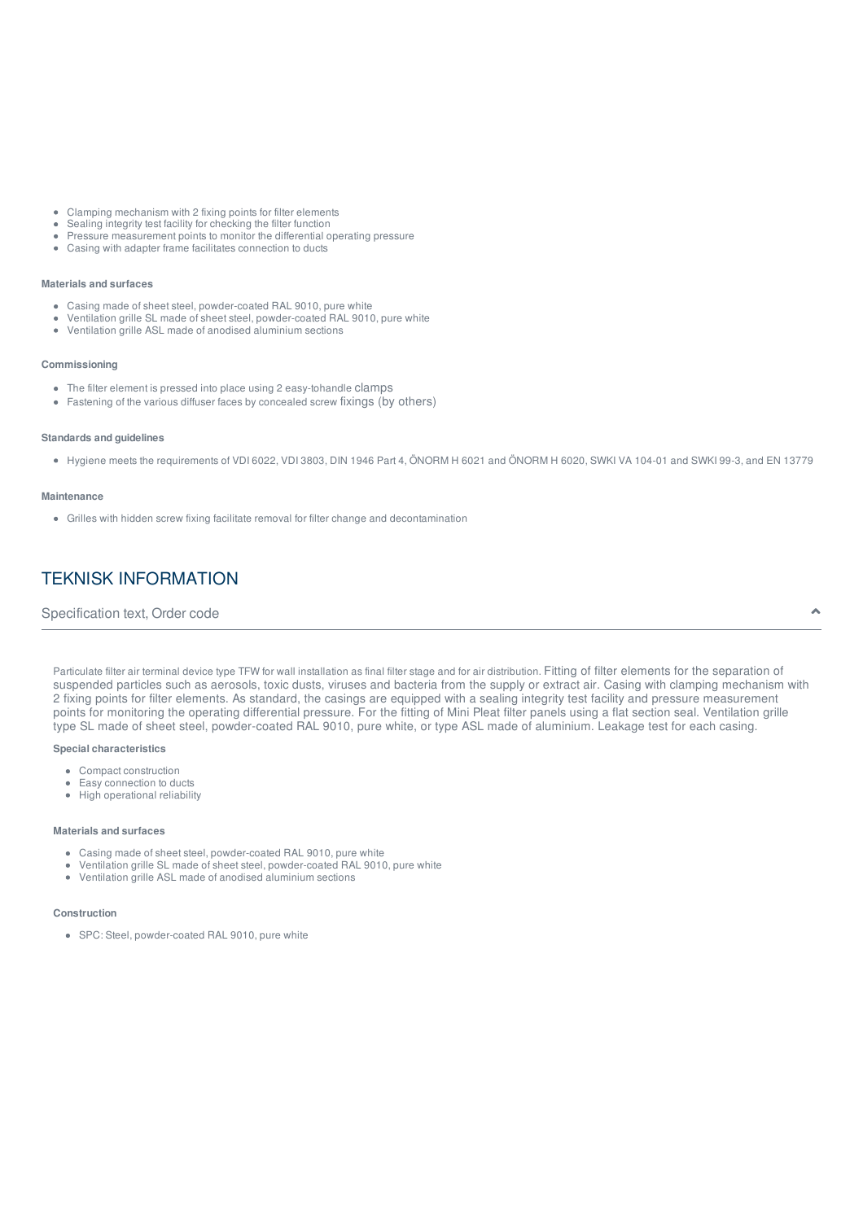- Clamping mechanism with 2 fixing points for filter elements
- Sealing integrity test facility for checking the filter function
- Pressure measurement points to monitor the differential operating pressure
- Casing with adapter frame facilitates connection to ducts

#### **Materials and surfaces**

- Casing made of sheet steel, powder-coated RAL 9010, pure white
- Ventilation grille SL made of sheet steel, powder-coated RAL 9010, pure white
- $\ddot{\phantom{a}}$ Ventilation grille ASL made of anodised aluminium sections

#### **Commissioning**

- The filter element is pressed into place using 2 easy-tohandle clamps
- Fastening of the various diffuser faces by concealed screw fixings (by others)

#### **Standards and guidelines**

Hygiene meets the requirements of VDI 6022, VDI 3803, DIN 1946 Part 4, ÖNORM H 6021 and ÖNORM H 6020, SWKI VA 104-01 and SWKI 99-3, and EN 13779

#### **Maintenance**

Grilles with hidden screw fixing facilitate removal for filter change and decontamination

# TEKNISK INFORMATION

## Specification text, Order code  $\bullet$

Particulate filter air terminal device type TFW for wall installation as final filter stage and for air distribution. Fitting of filter elements for the separation of suspended particles such as aerosols, toxic dusts, viruses and bacteria from the supply or extract air. Casing with clamping mechanism with 2 fixing points for filter elements. As standard, the casings are equipped with a sealing integrity test facility and pressure measurement points for monitoring the operating differential pressure. For the fitting of Mini Pleat filter panels using a flat section seal. Ventilation grille type SL made of sheet steel, powder-coated RAL 9010, pure white, or type ASL made of aluminium. Leakage test for each casing.

#### **Special characteristics**

- Compact construction
- $\bullet$ Easy connection to ducts • High operational reliability
- 

#### **Materials and surfaces**

- Casing made of sheet steel, powder-coated RAL 9010, pure white
- $\bullet$ Ventilation grille SL made of sheet steel, powder-coated RAL 9010, pure white
- $\bullet$ Ventilation grille ASL made of anodised aluminium sections

#### **Construction**

SPC: Steel, powder-coated RAL 9010, pure white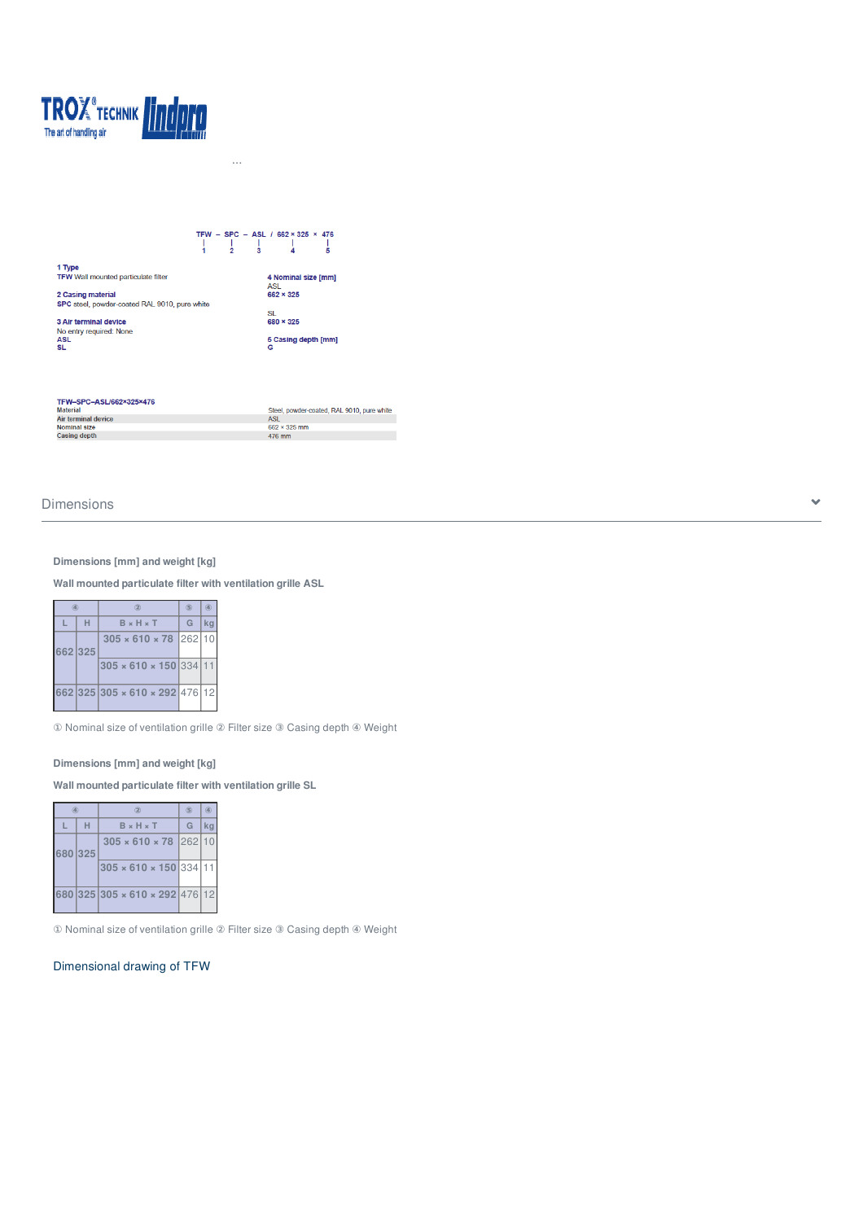

# TFW - SPC - ASL / 662 × 325 × 476<br>  $\begin{array}{ccccc} 1 & 1 & 1 & 1 & 1 \\ 1 & 2 & 3 & 4 & 5 \end{array}$ 1 Type<br>TFW Wall mounted particulate filter 4 Nominal size [mm] 2 Casing material<br>SPC steel, powder-coated RAL 9010, pure white ASL<br>662 × 325 SL<br>680 × 325 3 Air terminal device<br>No entry required: None<br>ASL<br>SL 5 Casing depth [mm]

Hemsida > Produkter > Lindpro ... > Particulate filter air terminal devices > Wall mounted particulate filter > TFW

| TFW-SPC-ASL/662×325×476 |                                            |
|-------------------------|--------------------------------------------|
| <b>Material</b>         | Steel, powder-coated, RAL 9010, pure white |
| Air terminal device     | <b>ASL</b>                                 |
| Nominal size            | $662 \times 325$ mm                        |
| Casing depth            | 476 mm                                     |

# $D$ imensions  $\bullet$

## **Dimensions [mm] and weight [kg]**

**Wall mounted particulate filter with ventilation grille ASL**

|         |   | 2                                  | (5) | $\circledast$ |
|---------|---|------------------------------------|-----|---------------|
| L       | н | $B \times H \times T$              | G   | kg            |
| 662 325 |   | $305 \times 610 \times 78$ 262 10  |     |               |
|         |   | $305 \times 610 \times 150$ 334 11 |     |               |
|         |   | 662 325 305 × 610 × 292 476 12     |     |               |

① Nominal size of ventilation grille ② Filter size ③ Casing depth ④ Weight

## **Dimensions [mm] and weight [kg]**

**Wall mounted particulate filter with ventilation grille SL**

| a       |   | $\circledR$                        | (5) | $\left( 4\right)$ |
|---------|---|------------------------------------|-----|-------------------|
|         | н | $B \times H \times T$              | G   | kg                |
| 680 325 |   | $305 \times 610 \times 78$ 262 10  |     |                   |
|         |   | $305 \times 610 \times 150$ 334 11 |     |                   |
|         |   | 680 325 305 × 610 × 292 476 12     |     |                   |

① Nominal size of ventilation grille ② Filter size ③ Casing depth ④ Weight

## Dimensional drawing of TFW